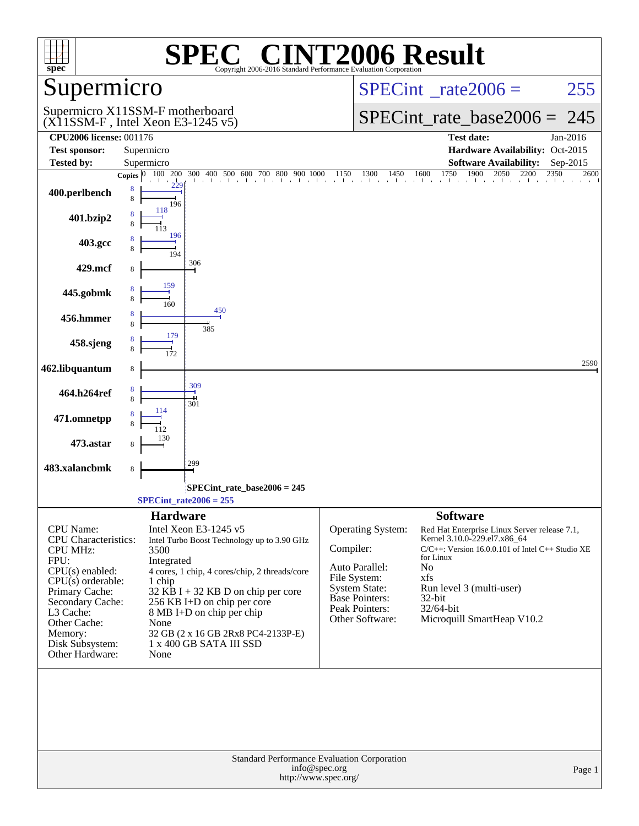| $spec^*$                                                                                                                                                                                                                            | $\mathbf{P}(\mathbf{R})$<br>Copyright 2006-2016 Standard Performance Evaluation Corporation                                                                                                                                                                                                                                              | <b>INT2006 Result</b>                                                                                                                                                                                                                                                                                                                                                                                      |
|-------------------------------------------------------------------------------------------------------------------------------------------------------------------------------------------------------------------------------------|------------------------------------------------------------------------------------------------------------------------------------------------------------------------------------------------------------------------------------------------------------------------------------------------------------------------------------------|------------------------------------------------------------------------------------------------------------------------------------------------------------------------------------------------------------------------------------------------------------------------------------------------------------------------------------------------------------------------------------------------------------|
| Supermicro                                                                                                                                                                                                                          |                                                                                                                                                                                                                                                                                                                                          | $SPECint^{\circ}$ rate $2006 =$<br>255                                                                                                                                                                                                                                                                                                                                                                     |
|                                                                                                                                                                                                                                     | Supermicro X11SSM-F motherboard<br>$(X11SSM-F$ , Intel Xeon E3-1245 v5)                                                                                                                                                                                                                                                                  | $SPECint_rate_base2006 =$<br>245                                                                                                                                                                                                                                                                                                                                                                           |
| <b>CPU2006 license: 001176</b>                                                                                                                                                                                                      |                                                                                                                                                                                                                                                                                                                                          | <b>Test date:</b><br>Jan-2016                                                                                                                                                                                                                                                                                                                                                                              |
| <b>Test sponsor:</b>                                                                                                                                                                                                                | Supermicro                                                                                                                                                                                                                                                                                                                               | Hardware Availability: Oct-2015                                                                                                                                                                                                                                                                                                                                                                            |
| <b>Tested by:</b>                                                                                                                                                                                                                   | Supermicro<br>100 200<br>Copies $ 0 $                                                                                                                                                                                                                                                                                                    | <b>Software Availability:</b><br>Sep-2015<br>2600                                                                                                                                                                                                                                                                                                                                                          |
| 400.perlbench                                                                                                                                                                                                                       | 8<br>8<br>196                                                                                                                                                                                                                                                                                                                            | $\frac{300}{1} \quad \frac{400}{1} \quad \frac{500}{1} \quad \frac{600}{1} \quad \frac{700}{1} \quad \frac{800}{1} \quad \frac{900}{1} \quad \frac{1000}{1} \quad \frac{1150}{1} \quad \frac{1300}{1} \quad \frac{1450}{1} \quad \frac{1600}{1} \quad \frac{1750}{1} \quad \frac{1900}{1} \quad \frac{2050}{1} \quad \frac{2200}{1} \quad \frac{2350}{1}$                                                  |
| 401.bzip2                                                                                                                                                                                                                           | 118                                                                                                                                                                                                                                                                                                                                      |                                                                                                                                                                                                                                                                                                                                                                                                            |
| 403.gcc                                                                                                                                                                                                                             | 196<br>194<br>306                                                                                                                                                                                                                                                                                                                        |                                                                                                                                                                                                                                                                                                                                                                                                            |
| 429.mcf                                                                                                                                                                                                                             | 8                                                                                                                                                                                                                                                                                                                                        |                                                                                                                                                                                                                                                                                                                                                                                                            |
| 445.gobmk                                                                                                                                                                                                                           | 159<br>8<br>160                                                                                                                                                                                                                                                                                                                          |                                                                                                                                                                                                                                                                                                                                                                                                            |
| 456.hmmer                                                                                                                                                                                                                           | 450<br>8<br>385                                                                                                                                                                                                                                                                                                                          |                                                                                                                                                                                                                                                                                                                                                                                                            |
| 458.sjeng                                                                                                                                                                                                                           | 179<br>8                                                                                                                                                                                                                                                                                                                                 |                                                                                                                                                                                                                                                                                                                                                                                                            |
| 462.libquantum                                                                                                                                                                                                                      | 8<br>309                                                                                                                                                                                                                                                                                                                                 | 2590                                                                                                                                                                                                                                                                                                                                                                                                       |
| 464.h264ref                                                                                                                                                                                                                         | 8<br>8<br>301<br>114                                                                                                                                                                                                                                                                                                                     |                                                                                                                                                                                                                                                                                                                                                                                                            |
| 471.omnetpp                                                                                                                                                                                                                         | 112                                                                                                                                                                                                                                                                                                                                      |                                                                                                                                                                                                                                                                                                                                                                                                            |
| 473.astar                                                                                                                                                                                                                           | 130<br>8<br>299                                                                                                                                                                                                                                                                                                                          |                                                                                                                                                                                                                                                                                                                                                                                                            |
| 483.xalancbmk                                                                                                                                                                                                                       | 8                                                                                                                                                                                                                                                                                                                                        |                                                                                                                                                                                                                                                                                                                                                                                                            |
|                                                                                                                                                                                                                                     | $SPECint_rate_base2006 = 245$<br>$SPECint_rate2006 = 255$                                                                                                                                                                                                                                                                                |                                                                                                                                                                                                                                                                                                                                                                                                            |
|                                                                                                                                                                                                                                     | <b>Hardware</b>                                                                                                                                                                                                                                                                                                                          | <b>Software</b>                                                                                                                                                                                                                                                                                                                                                                                            |
| <b>CPU</b> Name:<br>CPU Characteristics:<br><b>CPU MHz:</b><br>FPU:<br>$CPU(s)$ enabled:<br>$CPU(s)$ orderable:<br>Primary Cache:<br>Secondary Cache:<br>L3 Cache:<br>Other Cache:<br>Memory:<br>Disk Subsystem:<br>Other Hardware: | Intel Xeon E3-1245 v5<br>Intel Turbo Boost Technology up to 3.90 GHz<br>3500<br>Integrated<br>4 cores, 1 chip, 4 cores/chip, 2 threads/core<br>1 chip<br>32 KB I + 32 KB D on chip per core<br>256 KB I+D on chip per core<br>8 MB I+D on chip per chip<br>None<br>32 GB (2 x 16 GB 2Rx8 PC4-2133P-E)<br>1 x 400 GB SATA III SSD<br>None | <b>Operating System:</b><br>Red Hat Enterprise Linux Server release 7.1,<br>Kernel 3.10.0-229.el7.x86_64<br>Compiler:<br>$C/C++$ : Version 16.0.0.101 of Intel $C++$ Studio XE<br>for Linux<br>Auto Parallel:<br>No<br>File System:<br>xfs<br><b>System State:</b><br>Run level 3 (multi-user)<br>Base Pointers:<br>32-bit<br>Peak Pointers:<br>32/64-bit<br>Other Software:<br>Microquill SmartHeap V10.2 |
|                                                                                                                                                                                                                                     | Standard Performance Evaluation Corporation<br>info@spec.org<br>http://www.spec.org/                                                                                                                                                                                                                                                     | Page 1                                                                                                                                                                                                                                                                                                                                                                                                     |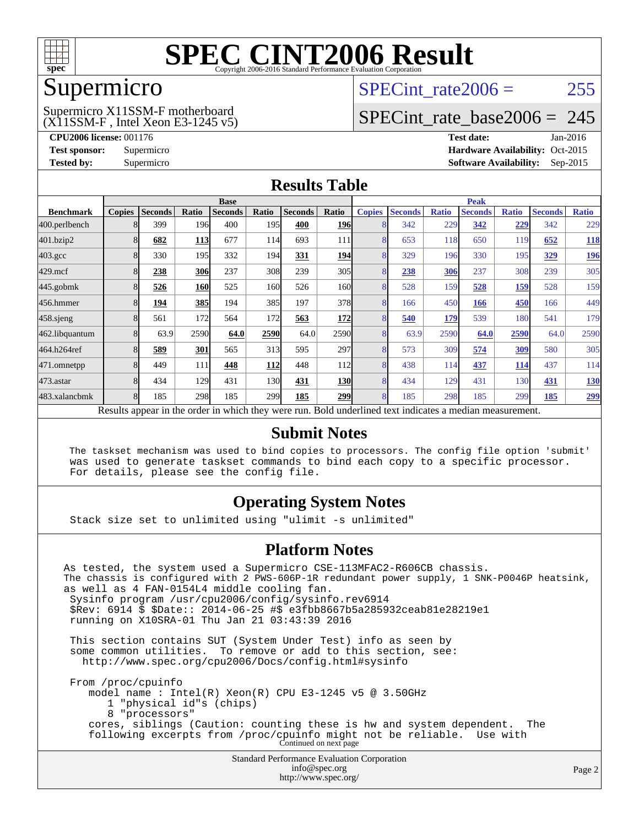

### Supermicro

### (X11SSM-F , Intel Xeon E3-1245 v5) Supermicro X11SSM-F motherboard

SPECint rate $2006 = 255$ 

### [SPECint\\_rate\\_base2006 =](http://www.spec.org/auto/cpu2006/Docs/result-fields.html#SPECintratebase2006) 245

**[CPU2006 license:](http://www.spec.org/auto/cpu2006/Docs/result-fields.html#CPU2006license)** 001176 **[Test date:](http://www.spec.org/auto/cpu2006/Docs/result-fields.html#Testdate)** Jan-2016 **[Test sponsor:](http://www.spec.org/auto/cpu2006/Docs/result-fields.html#Testsponsor)** Supermicro Supermicro **[Hardware Availability:](http://www.spec.org/auto/cpu2006/Docs/result-fields.html#HardwareAvailability)** Oct-2015 **[Tested by:](http://www.spec.org/auto/cpu2006/Docs/result-fields.html#Testedby)** Supermicro **Supermicro [Software Availability:](http://www.spec.org/auto/cpu2006/Docs/result-fields.html#SoftwareAvailability)** Sep-2015

### **[Results Table](http://www.spec.org/auto/cpu2006/Docs/result-fields.html#ResultsTable)**

|                                                                                                          | <b>Base</b>   |                |            |                |            | <b>Peak</b>    |            |               |                |              |                |              |                |              |
|----------------------------------------------------------------------------------------------------------|---------------|----------------|------------|----------------|------------|----------------|------------|---------------|----------------|--------------|----------------|--------------|----------------|--------------|
| <b>Benchmark</b>                                                                                         | <b>Copies</b> | <b>Seconds</b> | Ratio      | <b>Seconds</b> | Ratio      | <b>Seconds</b> | Ratio      | <b>Copies</b> | <b>Seconds</b> | <b>Ratio</b> | <b>Seconds</b> | <b>Ratio</b> | <b>Seconds</b> | <b>Ratio</b> |
| 400.perlbench                                                                                            |               | 399            | 196        | 400            | 195I       | 400            | <b>196</b> | 8             | 342            | 229          | 342            | 229          | 342            | 229          |
| 401.bzip2                                                                                                |               | 682            | <b>113</b> | 677            | 114        | 693            | 111        | 8             | 653            | 118          | 650            | 119          | 652            | <b>118</b>   |
| $403.\mathrm{gcc}$                                                                                       |               | 330            | 195        | 332            | 194        | 331            | <b>194</b> | 8             | 329            | 196          | 330            | 195          | 329            | <u>196</u>   |
| $429$ .mcf                                                                                               |               | 238            | 306        | 237            | 308        | 239            | 305        | 8             | 238            | 306          | 237            | 308          | 239            | 305          |
| $445$ .gobm $k$                                                                                          | 8             | 526            | <b>160</b> | 525            | 160        | 526            | 160l       | 8             | 528            | 159          | 528            | <u>159</u>   | 528            | 159          |
| 456.hmmer                                                                                                |               | 194            | 385        | 194            | 385        | 197            | 378        | 8             | 166            | 450          | 166            | 450          | 166            | 449          |
| $458$ .sjeng                                                                                             |               | 561            | 172        | 564            | 172        | 563            | <b>172</b> | 8             | 540            | 179          | 539            | 180          | 541            | 179          |
| 462.libquantum                                                                                           |               | 63.9           | 2590       | 64.0           | 2590       | 64.0           | 2590       | 8             | 63.9           | 2590         | 64.0           | 2590         | 64.0           | 2590         |
| 464.h264ref                                                                                              |               | 589            | 301        | 565            | 313        | 595            | 297l       | 8             | 573            | 309          | 574            | 309          | 580            | 305          |
| 471.omnetpp                                                                                              |               | 449            | 111        | 448            | <u>112</u> | 448            | 112        | 8             | 438            | 114          | 437            | 114          | 437            | 114          |
| 473.astar                                                                                                | 8             | 434            | 129        | 431            | 130        | 431            | <b>130</b> | 8             | 434            | 129          | 431            | 130          | 431            | <u>130</u>   |
| 483.xalancbmk                                                                                            |               | 185            | 298        | 185            | 299        | 185            | <b>299</b> | 8             | 185            | 298          | 185            | 299          | 185            | <u>299</u>   |
| Results appear in the order in which they were run. Bold underlined text indicates a median measurement. |               |                |            |                |            |                |            |               |                |              |                |              |                |              |

### **[Submit Notes](http://www.spec.org/auto/cpu2006/Docs/result-fields.html#SubmitNotes)**

 The taskset mechanism was used to bind copies to processors. The config file option 'submit' was used to generate taskset commands to bind each copy to a specific processor. For details, please see the config file.

### **[Operating System Notes](http://www.spec.org/auto/cpu2006/Docs/result-fields.html#OperatingSystemNotes)**

Stack size set to unlimited using "ulimit -s unlimited"

### **[Platform Notes](http://www.spec.org/auto/cpu2006/Docs/result-fields.html#PlatformNotes)**

Standard Performance Evaluation Corporation [info@spec.org](mailto:info@spec.org) As tested, the system used a Supermicro CSE-113MFAC2-R606CB chassis. The chassis is configured with 2 PWS-606P-1R redundant power supply, 1 SNK-P0046P heatsink, as well as 4 FAN-0154L4 middle cooling fan. Sysinfo program /usr/cpu2006/config/sysinfo.rev6914 \$Rev: 6914 \$ \$Date:: 2014-06-25 #\$ e3fbb8667b5a285932ceab81e28219e1 running on X10SRA-01 Thu Jan 21 03:43:39 2016 This section contains SUT (System Under Test) info as seen by some common utilities. To remove or add to this section, see: <http://www.spec.org/cpu2006/Docs/config.html#sysinfo> From /proc/cpuinfo model name : Intel(R) Xeon(R) CPU E3-1245 v5 @ 3.50GHz 1 "physical id"s (chips) 8 "processors" cores, siblings (Caution: counting these is hw and system dependent. The following excerpts from /proc/cpuinfo might not be reliable. Use with Continued on next page

<http://www.spec.org/>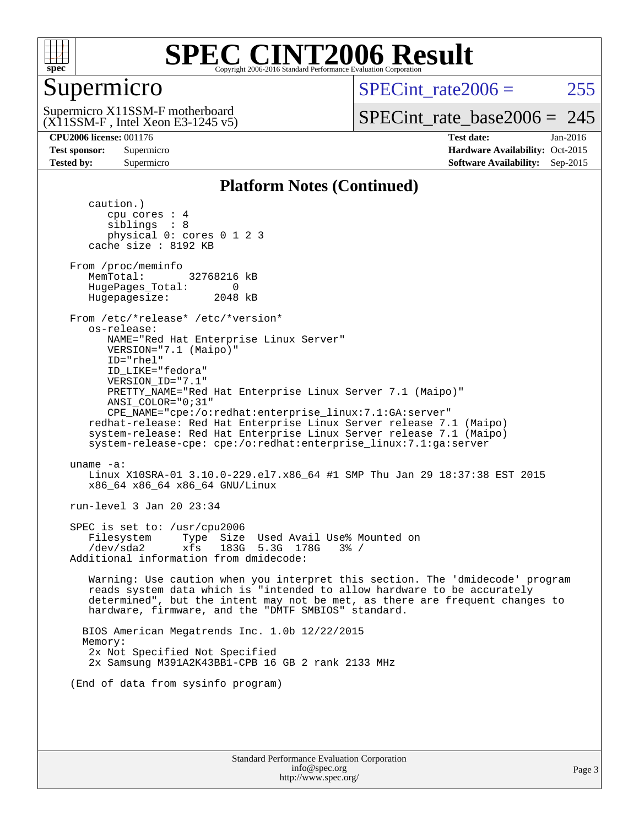

### Supermicro

SPECint rate $2006 = 255$ 

(X11SSM-F , Intel Xeon E3-1245 v5) Supermicro X11SSM-F motherboard

[SPECint\\_rate\\_base2006 =](http://www.spec.org/auto/cpu2006/Docs/result-fields.html#SPECintratebase2006) 245

**[CPU2006 license:](http://www.spec.org/auto/cpu2006/Docs/result-fields.html#CPU2006license)** 001176 **[Test date:](http://www.spec.org/auto/cpu2006/Docs/result-fields.html#Testdate)** Jan-2016 **[Test sponsor:](http://www.spec.org/auto/cpu2006/Docs/result-fields.html#Testsponsor)** Supermicro Supermicro **[Hardware Availability:](http://www.spec.org/auto/cpu2006/Docs/result-fields.html#HardwareAvailability)** Oct-2015 **[Tested by:](http://www.spec.org/auto/cpu2006/Docs/result-fields.html#Testedby)** Supermicro **Supermicro [Software Availability:](http://www.spec.org/auto/cpu2006/Docs/result-fields.html#SoftwareAvailability)** Sep-2015

### **[Platform Notes \(Continued\)](http://www.spec.org/auto/cpu2006/Docs/result-fields.html#PlatformNotes)**

 caution.) cpu cores : 4 siblings : 8 physical 0: cores 0 1 2 3 cache size : 8192 KB From /proc/meminfo MemTotal: 32768216 kB HugePages\_Total: 0<br>Hugepagesize: 2048 kB Hugepagesize: From /etc/\*release\* /etc/\*version\* os-release: NAME="Red Hat Enterprise Linux Server" VERSION="7.1 (Maipo)" ID="rhel" ID\_LIKE="fedora" VERSION\_ID="7.1" PRETTY\_NAME="Red Hat Enterprise Linux Server 7.1 (Maipo)" ANSI\_COLOR="0;31" CPE\_NAME="cpe:/o:redhat:enterprise\_linux:7.1:GA:server" redhat-release: Red Hat Enterprise Linux Server release 7.1 (Maipo) system-release: Red Hat Enterprise Linux Server release 7.1 (Maipo) system-release-cpe: cpe:/o:redhat:enterprise\_linux:7.1:ga:server uname -a: Linux X10SRA-01 3.10.0-229.el7.x86\_64 #1 SMP Thu Jan 29 18:37:38 EST 2015 x86\_64 x86\_64 x86\_64 GNU/Linux run-level 3 Jan 20 23:34 SPEC is set to: /usr/cpu2006 Filesystem Type Size Used Avail Use% Mounted on /dev/sda2 xfs 183G 5.3G 178G 3% / Additional information from dmidecode: Warning: Use caution when you interpret this section. The 'dmidecode' program reads system data which is "intended to allow hardware to be accurately determined", but the intent may not be met, as there are frequent changes to hardware, firmware, and the "DMTF SMBIOS" standard. BIOS American Megatrends Inc. 1.0b 12/22/2015 Memory: 2x Not Specified Not Specified 2x Samsung M391A2K43BB1-CPB 16 GB 2 rank 2133 MHz (End of data from sysinfo program)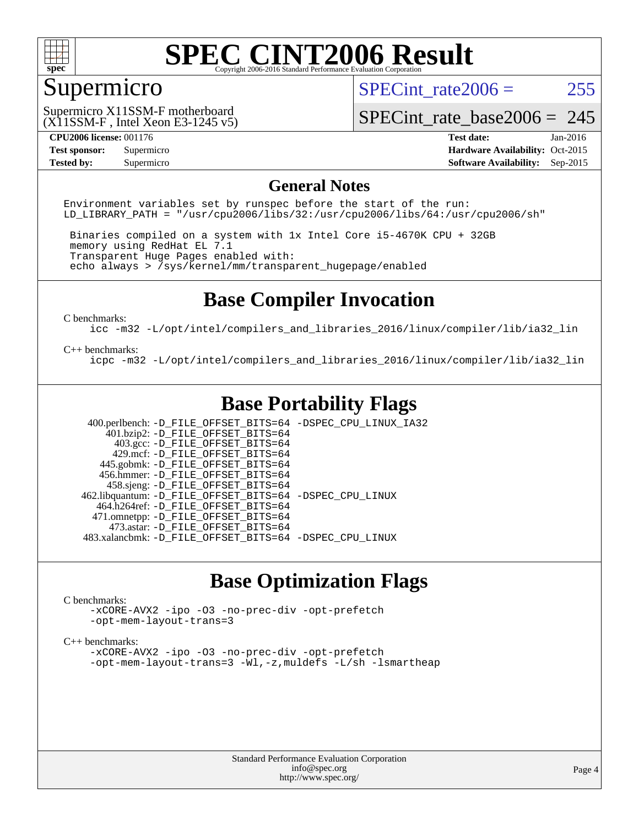

### Supermicro

SPECint rate $2006 = 255$ 

(X11SSM-F , Intel Xeon E3-1245 v5) Supermicro X11SSM-F motherboard

[SPECint\\_rate\\_base2006 =](http://www.spec.org/auto/cpu2006/Docs/result-fields.html#SPECintratebase2006) 245

**[CPU2006 license:](http://www.spec.org/auto/cpu2006/Docs/result-fields.html#CPU2006license)** 001176 **[Test date:](http://www.spec.org/auto/cpu2006/Docs/result-fields.html#Testdate)** Jan-2016 **[Test sponsor:](http://www.spec.org/auto/cpu2006/Docs/result-fields.html#Testsponsor)** Supermicro Supermicro **[Hardware Availability:](http://www.spec.org/auto/cpu2006/Docs/result-fields.html#HardwareAvailability)** Oct-2015 **[Tested by:](http://www.spec.org/auto/cpu2006/Docs/result-fields.html#Testedby)** Supermicro **Supermicro [Software Availability:](http://www.spec.org/auto/cpu2006/Docs/result-fields.html#SoftwareAvailability)** Sep-2015

### **[General Notes](http://www.spec.org/auto/cpu2006/Docs/result-fields.html#GeneralNotes)**

Environment variables set by runspec before the start of the run: LD LIBRARY PATH = "/usr/cpu2006/libs/32:/usr/cpu2006/libs/64:/usr/cpu2006/sh"

 Binaries compiled on a system with 1x Intel Core i5-4670K CPU + 32GB memory using RedHat EL 7.1 Transparent Huge Pages enabled with: echo always > /sys/kernel/mm/transparent\_hugepage/enabled

### **[Base Compiler Invocation](http://www.spec.org/auto/cpu2006/Docs/result-fields.html#BaseCompilerInvocation)**

[C benchmarks](http://www.spec.org/auto/cpu2006/Docs/result-fields.html#Cbenchmarks):

[icc -m32 -L/opt/intel/compilers\\_and\\_libraries\\_2016/linux/compiler/lib/ia32\\_lin](http://www.spec.org/cpu2006/results/res2016q1/cpu2006-20160125-38780.flags.html#user_CCbase_intel_icc_e10256ba5924b668798078a321b0cb3f)

#### [C++ benchmarks:](http://www.spec.org/auto/cpu2006/Docs/result-fields.html#CXXbenchmarks)

[icpc -m32 -L/opt/intel/compilers\\_and\\_libraries\\_2016/linux/compiler/lib/ia32\\_lin](http://www.spec.org/cpu2006/results/res2016q1/cpu2006-20160125-38780.flags.html#user_CXXbase_intel_icpc_b4f50a394bdb4597aa5879c16bc3f5c5)

### **[Base Portability Flags](http://www.spec.org/auto/cpu2006/Docs/result-fields.html#BasePortabilityFlags)**

 400.perlbench: [-D\\_FILE\\_OFFSET\\_BITS=64](http://www.spec.org/cpu2006/results/res2016q1/cpu2006-20160125-38780.flags.html#user_basePORTABILITY400_perlbench_file_offset_bits_64_438cf9856305ebd76870a2c6dc2689ab) [-DSPEC\\_CPU\\_LINUX\\_IA32](http://www.spec.org/cpu2006/results/res2016q1/cpu2006-20160125-38780.flags.html#b400.perlbench_baseCPORTABILITY_DSPEC_CPU_LINUX_IA32)  $401.bzip2: -D$ FILE\_OFFSET\_BITS=64 403.gcc: [-D\\_FILE\\_OFFSET\\_BITS=64](http://www.spec.org/cpu2006/results/res2016q1/cpu2006-20160125-38780.flags.html#user_basePORTABILITY403_gcc_file_offset_bits_64_438cf9856305ebd76870a2c6dc2689ab) 429.mcf: [-D\\_FILE\\_OFFSET\\_BITS=64](http://www.spec.org/cpu2006/results/res2016q1/cpu2006-20160125-38780.flags.html#user_basePORTABILITY429_mcf_file_offset_bits_64_438cf9856305ebd76870a2c6dc2689ab) 445.gobmk: [-D\\_FILE\\_OFFSET\\_BITS=64](http://www.spec.org/cpu2006/results/res2016q1/cpu2006-20160125-38780.flags.html#user_basePORTABILITY445_gobmk_file_offset_bits_64_438cf9856305ebd76870a2c6dc2689ab) 456.hmmer: [-D\\_FILE\\_OFFSET\\_BITS=64](http://www.spec.org/cpu2006/results/res2016q1/cpu2006-20160125-38780.flags.html#user_basePORTABILITY456_hmmer_file_offset_bits_64_438cf9856305ebd76870a2c6dc2689ab) 458.sjeng: [-D\\_FILE\\_OFFSET\\_BITS=64](http://www.spec.org/cpu2006/results/res2016q1/cpu2006-20160125-38780.flags.html#user_basePORTABILITY458_sjeng_file_offset_bits_64_438cf9856305ebd76870a2c6dc2689ab) 462.libquantum: [-D\\_FILE\\_OFFSET\\_BITS=64](http://www.spec.org/cpu2006/results/res2016q1/cpu2006-20160125-38780.flags.html#user_basePORTABILITY462_libquantum_file_offset_bits_64_438cf9856305ebd76870a2c6dc2689ab) [-DSPEC\\_CPU\\_LINUX](http://www.spec.org/cpu2006/results/res2016q1/cpu2006-20160125-38780.flags.html#b462.libquantum_baseCPORTABILITY_DSPEC_CPU_LINUX) 464.h264ref: [-D\\_FILE\\_OFFSET\\_BITS=64](http://www.spec.org/cpu2006/results/res2016q1/cpu2006-20160125-38780.flags.html#user_basePORTABILITY464_h264ref_file_offset_bits_64_438cf9856305ebd76870a2c6dc2689ab) 471.omnetpp: [-D\\_FILE\\_OFFSET\\_BITS=64](http://www.spec.org/cpu2006/results/res2016q1/cpu2006-20160125-38780.flags.html#user_basePORTABILITY471_omnetpp_file_offset_bits_64_438cf9856305ebd76870a2c6dc2689ab) 473.astar: [-D\\_FILE\\_OFFSET\\_BITS=64](http://www.spec.org/cpu2006/results/res2016q1/cpu2006-20160125-38780.flags.html#user_basePORTABILITY473_astar_file_offset_bits_64_438cf9856305ebd76870a2c6dc2689ab) 483.xalancbmk: [-D\\_FILE\\_OFFSET\\_BITS=64](http://www.spec.org/cpu2006/results/res2016q1/cpu2006-20160125-38780.flags.html#user_basePORTABILITY483_xalancbmk_file_offset_bits_64_438cf9856305ebd76870a2c6dc2689ab) [-DSPEC\\_CPU\\_LINUX](http://www.spec.org/cpu2006/results/res2016q1/cpu2006-20160125-38780.flags.html#b483.xalancbmk_baseCXXPORTABILITY_DSPEC_CPU_LINUX)

### **[Base Optimization Flags](http://www.spec.org/auto/cpu2006/Docs/result-fields.html#BaseOptimizationFlags)**

#### [C benchmarks](http://www.spec.org/auto/cpu2006/Docs/result-fields.html#Cbenchmarks):

[-xCORE-AVX2](http://www.spec.org/cpu2006/results/res2016q1/cpu2006-20160125-38780.flags.html#user_CCbase_f-xAVX2_5f5fc0cbe2c9f62c816d3e45806c70d7) [-ipo](http://www.spec.org/cpu2006/results/res2016q1/cpu2006-20160125-38780.flags.html#user_CCbase_f-ipo) [-O3](http://www.spec.org/cpu2006/results/res2016q1/cpu2006-20160125-38780.flags.html#user_CCbase_f-O3) [-no-prec-div](http://www.spec.org/cpu2006/results/res2016q1/cpu2006-20160125-38780.flags.html#user_CCbase_f-no-prec-div) [-opt-prefetch](http://www.spec.org/cpu2006/results/res2016q1/cpu2006-20160125-38780.flags.html#user_CCbase_f-opt-prefetch) [-opt-mem-layout-trans=3](http://www.spec.org/cpu2006/results/res2016q1/cpu2006-20160125-38780.flags.html#user_CCbase_f-opt-mem-layout-trans_a7b82ad4bd7abf52556d4961a2ae94d5)

#### [C++ benchmarks:](http://www.spec.org/auto/cpu2006/Docs/result-fields.html#CXXbenchmarks)

[-xCORE-AVX2](http://www.spec.org/cpu2006/results/res2016q1/cpu2006-20160125-38780.flags.html#user_CXXbase_f-xAVX2_5f5fc0cbe2c9f62c816d3e45806c70d7) [-ipo](http://www.spec.org/cpu2006/results/res2016q1/cpu2006-20160125-38780.flags.html#user_CXXbase_f-ipo) [-O3](http://www.spec.org/cpu2006/results/res2016q1/cpu2006-20160125-38780.flags.html#user_CXXbase_f-O3) [-no-prec-div](http://www.spec.org/cpu2006/results/res2016q1/cpu2006-20160125-38780.flags.html#user_CXXbase_f-no-prec-div) [-opt-prefetch](http://www.spec.org/cpu2006/results/res2016q1/cpu2006-20160125-38780.flags.html#user_CXXbase_f-opt-prefetch) [-opt-mem-layout-trans=3](http://www.spec.org/cpu2006/results/res2016q1/cpu2006-20160125-38780.flags.html#user_CXXbase_f-opt-mem-layout-trans_a7b82ad4bd7abf52556d4961a2ae94d5) [-Wl,-z,muldefs](http://www.spec.org/cpu2006/results/res2016q1/cpu2006-20160125-38780.flags.html#user_CXXbase_link_force_multiple1_74079c344b956b9658436fd1b6dd3a8a) [-L/sh -lsmartheap](http://www.spec.org/cpu2006/results/res2016q1/cpu2006-20160125-38780.flags.html#user_CXXbase_SmartHeap_32f6c82aa1ed9c52345d30cf6e4a0499)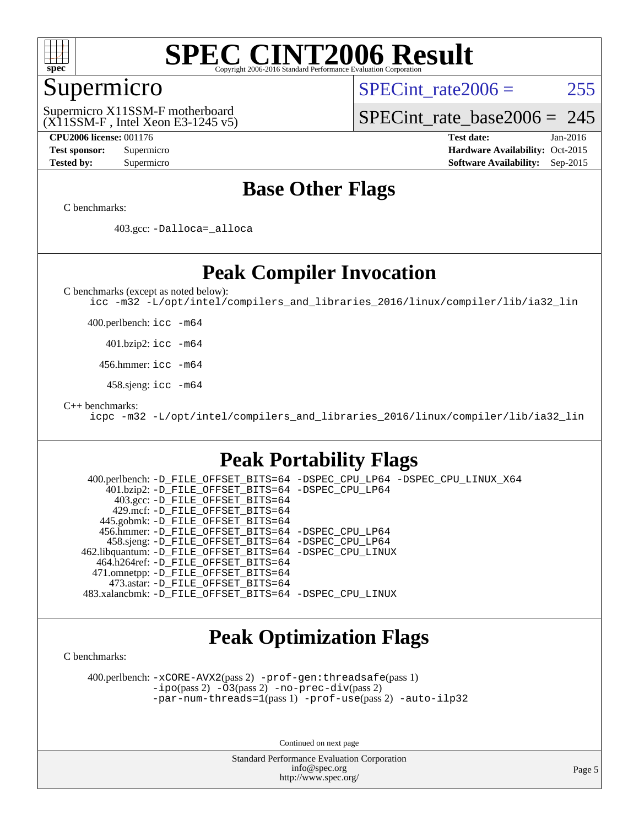

### Supermicro

SPECint rate $2006 = 255$ 

(X11SSM-F , Intel Xeon E3-1245 v5) Supermicro X11SSM-F motherboard

[SPECint\\_rate\\_base2006 =](http://www.spec.org/auto/cpu2006/Docs/result-fields.html#SPECintratebase2006) 245

**[CPU2006 license:](http://www.spec.org/auto/cpu2006/Docs/result-fields.html#CPU2006license)** 001176 **[Test date:](http://www.spec.org/auto/cpu2006/Docs/result-fields.html#Testdate)** Jan-2016 **[Test sponsor:](http://www.spec.org/auto/cpu2006/Docs/result-fields.html#Testsponsor)** Supermicro Supermicro **[Hardware Availability:](http://www.spec.org/auto/cpu2006/Docs/result-fields.html#HardwareAvailability)** Oct-2015 **[Tested by:](http://www.spec.org/auto/cpu2006/Docs/result-fields.html#Testedby)** Supermicro **Supermicro [Software Availability:](http://www.spec.org/auto/cpu2006/Docs/result-fields.html#SoftwareAvailability)** Sep-2015

### **[Base Other Flags](http://www.spec.org/auto/cpu2006/Docs/result-fields.html#BaseOtherFlags)**

[C benchmarks](http://www.spec.org/auto/cpu2006/Docs/result-fields.html#Cbenchmarks):

403.gcc: [-Dalloca=\\_alloca](http://www.spec.org/cpu2006/results/res2016q1/cpu2006-20160125-38780.flags.html#b403.gcc_baseEXTRA_CFLAGS_Dalloca_be3056838c12de2578596ca5467af7f3)

### **[Peak Compiler Invocation](http://www.spec.org/auto/cpu2006/Docs/result-fields.html#PeakCompilerInvocation)**

[C benchmarks \(except as noted below\)](http://www.spec.org/auto/cpu2006/Docs/result-fields.html#Cbenchmarksexceptasnotedbelow):

[icc -m32 -L/opt/intel/compilers\\_and\\_libraries\\_2016/linux/compiler/lib/ia32\\_lin](http://www.spec.org/cpu2006/results/res2016q1/cpu2006-20160125-38780.flags.html#user_CCpeak_intel_icc_e10256ba5924b668798078a321b0cb3f)

400.perlbench: [icc -m64](http://www.spec.org/cpu2006/results/res2016q1/cpu2006-20160125-38780.flags.html#user_peakCCLD400_perlbench_intel_icc_64bit_bda6cc9af1fdbb0edc3795bac97ada53)

401.bzip2: [icc -m64](http://www.spec.org/cpu2006/results/res2016q1/cpu2006-20160125-38780.flags.html#user_peakCCLD401_bzip2_intel_icc_64bit_bda6cc9af1fdbb0edc3795bac97ada53)

456.hmmer: [icc -m64](http://www.spec.org/cpu2006/results/res2016q1/cpu2006-20160125-38780.flags.html#user_peakCCLD456_hmmer_intel_icc_64bit_bda6cc9af1fdbb0edc3795bac97ada53)

458.sjeng: [icc -m64](http://www.spec.org/cpu2006/results/res2016q1/cpu2006-20160125-38780.flags.html#user_peakCCLD458_sjeng_intel_icc_64bit_bda6cc9af1fdbb0edc3795bac97ada53)

[C++ benchmarks:](http://www.spec.org/auto/cpu2006/Docs/result-fields.html#CXXbenchmarks)

[icpc -m32 -L/opt/intel/compilers\\_and\\_libraries\\_2016/linux/compiler/lib/ia32\\_lin](http://www.spec.org/cpu2006/results/res2016q1/cpu2006-20160125-38780.flags.html#user_CXXpeak_intel_icpc_b4f50a394bdb4597aa5879c16bc3f5c5)

### **[Peak Portability Flags](http://www.spec.org/auto/cpu2006/Docs/result-fields.html#PeakPortabilityFlags)**

 400.perlbench: [-D\\_FILE\\_OFFSET\\_BITS=64](http://www.spec.org/cpu2006/results/res2016q1/cpu2006-20160125-38780.flags.html#user_peakPORTABILITY400_perlbench_file_offset_bits_64_438cf9856305ebd76870a2c6dc2689ab) [-DSPEC\\_CPU\\_LP64](http://www.spec.org/cpu2006/results/res2016q1/cpu2006-20160125-38780.flags.html#b400.perlbench_peakCPORTABILITY_DSPEC_CPU_LP64) [-DSPEC\\_CPU\\_LINUX\\_X64](http://www.spec.org/cpu2006/results/res2016q1/cpu2006-20160125-38780.flags.html#b400.perlbench_peakCPORTABILITY_DSPEC_CPU_LINUX_X64) 401.bzip2: [-D\\_FILE\\_OFFSET\\_BITS=64](http://www.spec.org/cpu2006/results/res2016q1/cpu2006-20160125-38780.flags.html#user_peakPORTABILITY401_bzip2_file_offset_bits_64_438cf9856305ebd76870a2c6dc2689ab) [-DSPEC\\_CPU\\_LP64](http://www.spec.org/cpu2006/results/res2016q1/cpu2006-20160125-38780.flags.html#suite_peakCPORTABILITY401_bzip2_DSPEC_CPU_LP64) 403.gcc: [-D\\_FILE\\_OFFSET\\_BITS=64](http://www.spec.org/cpu2006/results/res2016q1/cpu2006-20160125-38780.flags.html#user_peakPORTABILITY403_gcc_file_offset_bits_64_438cf9856305ebd76870a2c6dc2689ab) 429.mcf: [-D\\_FILE\\_OFFSET\\_BITS=64](http://www.spec.org/cpu2006/results/res2016q1/cpu2006-20160125-38780.flags.html#user_peakPORTABILITY429_mcf_file_offset_bits_64_438cf9856305ebd76870a2c6dc2689ab) 445.gobmk: [-D\\_FILE\\_OFFSET\\_BITS=64](http://www.spec.org/cpu2006/results/res2016q1/cpu2006-20160125-38780.flags.html#user_peakPORTABILITY445_gobmk_file_offset_bits_64_438cf9856305ebd76870a2c6dc2689ab) 456.hmmer: [-D\\_FILE\\_OFFSET\\_BITS=64](http://www.spec.org/cpu2006/results/res2016q1/cpu2006-20160125-38780.flags.html#user_peakPORTABILITY456_hmmer_file_offset_bits_64_438cf9856305ebd76870a2c6dc2689ab) [-DSPEC\\_CPU\\_LP64](http://www.spec.org/cpu2006/results/res2016q1/cpu2006-20160125-38780.flags.html#suite_peakCPORTABILITY456_hmmer_DSPEC_CPU_LP64) 458.sjeng: [-D\\_FILE\\_OFFSET\\_BITS=64](http://www.spec.org/cpu2006/results/res2016q1/cpu2006-20160125-38780.flags.html#user_peakPORTABILITY458_sjeng_file_offset_bits_64_438cf9856305ebd76870a2c6dc2689ab) [-DSPEC\\_CPU\\_LP64](http://www.spec.org/cpu2006/results/res2016q1/cpu2006-20160125-38780.flags.html#suite_peakCPORTABILITY458_sjeng_DSPEC_CPU_LP64) 462.libquantum: [-D\\_FILE\\_OFFSET\\_BITS=64](http://www.spec.org/cpu2006/results/res2016q1/cpu2006-20160125-38780.flags.html#user_peakPORTABILITY462_libquantum_file_offset_bits_64_438cf9856305ebd76870a2c6dc2689ab) [-DSPEC\\_CPU\\_LINUX](http://www.spec.org/cpu2006/results/res2016q1/cpu2006-20160125-38780.flags.html#b462.libquantum_peakCPORTABILITY_DSPEC_CPU_LINUX) 464.h264ref: [-D\\_FILE\\_OFFSET\\_BITS=64](http://www.spec.org/cpu2006/results/res2016q1/cpu2006-20160125-38780.flags.html#user_peakPORTABILITY464_h264ref_file_offset_bits_64_438cf9856305ebd76870a2c6dc2689ab) 471.omnetpp: [-D\\_FILE\\_OFFSET\\_BITS=64](http://www.spec.org/cpu2006/results/res2016q1/cpu2006-20160125-38780.flags.html#user_peakPORTABILITY471_omnetpp_file_offset_bits_64_438cf9856305ebd76870a2c6dc2689ab) 473.astar: [-D\\_FILE\\_OFFSET\\_BITS=64](http://www.spec.org/cpu2006/results/res2016q1/cpu2006-20160125-38780.flags.html#user_peakPORTABILITY473_astar_file_offset_bits_64_438cf9856305ebd76870a2c6dc2689ab) 483.xalancbmk: [-D\\_FILE\\_OFFSET\\_BITS=64](http://www.spec.org/cpu2006/results/res2016q1/cpu2006-20160125-38780.flags.html#user_peakPORTABILITY483_xalancbmk_file_offset_bits_64_438cf9856305ebd76870a2c6dc2689ab) [-DSPEC\\_CPU\\_LINUX](http://www.spec.org/cpu2006/results/res2016q1/cpu2006-20160125-38780.flags.html#b483.xalancbmk_peakCXXPORTABILITY_DSPEC_CPU_LINUX)

### **[Peak Optimization Flags](http://www.spec.org/auto/cpu2006/Docs/result-fields.html#PeakOptimizationFlags)**

[C benchmarks](http://www.spec.org/auto/cpu2006/Docs/result-fields.html#Cbenchmarks):

 400.perlbench: [-xCORE-AVX2](http://www.spec.org/cpu2006/results/res2016q1/cpu2006-20160125-38780.flags.html#user_peakPASS2_CFLAGSPASS2_LDCFLAGS400_perlbench_f-xAVX2_5f5fc0cbe2c9f62c816d3e45806c70d7)(pass 2) [-prof-gen:threadsafe](http://www.spec.org/cpu2006/results/res2016q1/cpu2006-20160125-38780.flags.html#user_peakPASS1_CFLAGSPASS1_LDCFLAGS400_perlbench_prof_gen_21a26eb79f378b550acd7bec9fe4467a)(pass 1) [-ipo](http://www.spec.org/cpu2006/results/res2016q1/cpu2006-20160125-38780.flags.html#user_peakPASS2_CFLAGSPASS2_LDCFLAGS400_perlbench_f-ipo)(pass 2) [-O3](http://www.spec.org/cpu2006/results/res2016q1/cpu2006-20160125-38780.flags.html#user_peakPASS2_CFLAGSPASS2_LDCFLAGS400_perlbench_f-O3)(pass 2) [-no-prec-div](http://www.spec.org/cpu2006/results/res2016q1/cpu2006-20160125-38780.flags.html#user_peakPASS2_CFLAGSPASS2_LDCFLAGS400_perlbench_f-no-prec-div)(pass 2) [-par-num-threads=1](http://www.spec.org/cpu2006/results/res2016q1/cpu2006-20160125-38780.flags.html#user_peakPASS1_CFLAGSPASS1_LDCFLAGS400_perlbench_par_num_threads_786a6ff141b4e9e90432e998842df6c2)(pass 1) [-prof-use](http://www.spec.org/cpu2006/results/res2016q1/cpu2006-20160125-38780.flags.html#user_peakPASS2_CFLAGSPASS2_LDCFLAGS400_perlbench_prof_use_bccf7792157ff70d64e32fe3e1250b55)(pass 2) [-auto-ilp32](http://www.spec.org/cpu2006/results/res2016q1/cpu2006-20160125-38780.flags.html#user_peakCOPTIMIZE400_perlbench_f-auto-ilp32)

Continued on next page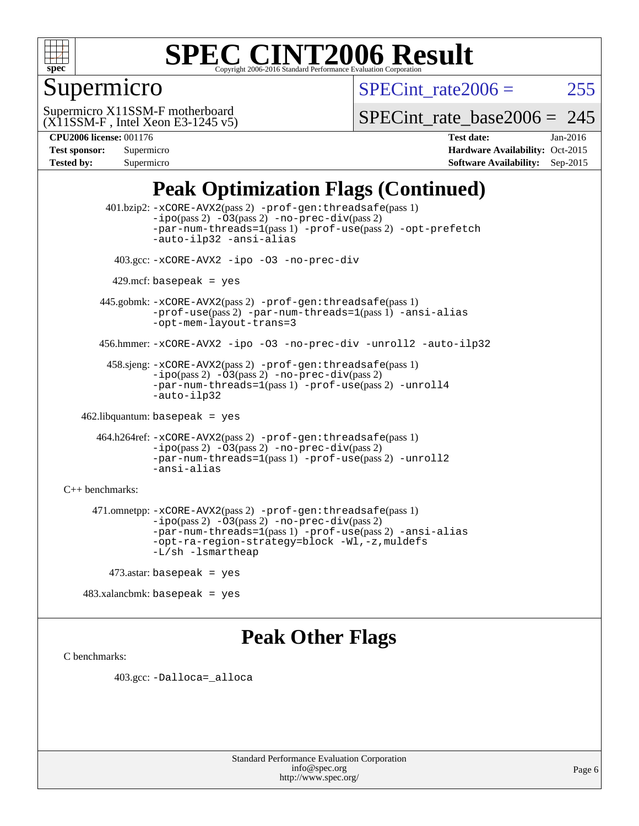

## Supermicro

SPECint rate $2006 = 255$ 

(X11SSM-F , Intel Xeon E3-1245 v5) Supermicro X11SSM-F motherboard

[SPECint\\_rate\\_base2006 =](http://www.spec.org/auto/cpu2006/Docs/result-fields.html#SPECintratebase2006) 245

| <b>Test sponsor:</b> | Supermicro |
|----------------------|------------|
| <b>Tested by:</b>    | Supermicro |

**[CPU2006 license:](http://www.spec.org/auto/cpu2006/Docs/result-fields.html#CPU2006license)** 001176 **[Test date:](http://www.spec.org/auto/cpu2006/Docs/result-fields.html#Testdate)** Jan-2016 **[Hardware Availability:](http://www.spec.org/auto/cpu2006/Docs/result-fields.html#HardwareAvailability)** Oct-2015 **[Software Availability:](http://www.spec.org/auto/cpu2006/Docs/result-fields.html#SoftwareAvailability)** Sep-2015

## **[Peak Optimization Flags \(Continued\)](http://www.spec.org/auto/cpu2006/Docs/result-fields.html#PeakOptimizationFlags)**

 401.bzip2: [-xCORE-AVX2](http://www.spec.org/cpu2006/results/res2016q1/cpu2006-20160125-38780.flags.html#user_peakPASS2_CFLAGSPASS2_LDCFLAGS401_bzip2_f-xAVX2_5f5fc0cbe2c9f62c816d3e45806c70d7)(pass 2) [-prof-gen:threadsafe](http://www.spec.org/cpu2006/results/res2016q1/cpu2006-20160125-38780.flags.html#user_peakPASS1_CFLAGSPASS1_LDCFLAGS401_bzip2_prof_gen_21a26eb79f378b550acd7bec9fe4467a)(pass 1)  $-i\text{po}(pass 2) -\text{O3}(pass 2)$  [-no-prec-div](http://www.spec.org/cpu2006/results/res2016q1/cpu2006-20160125-38780.flags.html#user_peakPASS2_CFLAGSPASS2_LDCFLAGS401_bzip2_f-no-prec-div)(pass 2) [-par-num-threads=1](http://www.spec.org/cpu2006/results/res2016q1/cpu2006-20160125-38780.flags.html#user_peakPASS1_CFLAGSPASS1_LDCFLAGS401_bzip2_par_num_threads_786a6ff141b4e9e90432e998842df6c2)(pass 1) [-prof-use](http://www.spec.org/cpu2006/results/res2016q1/cpu2006-20160125-38780.flags.html#user_peakPASS2_CFLAGSPASS2_LDCFLAGS401_bzip2_prof_use_bccf7792157ff70d64e32fe3e1250b55)(pass 2) [-opt-prefetch](http://www.spec.org/cpu2006/results/res2016q1/cpu2006-20160125-38780.flags.html#user_peakCOPTIMIZE401_bzip2_f-opt-prefetch) [-auto-ilp32](http://www.spec.org/cpu2006/results/res2016q1/cpu2006-20160125-38780.flags.html#user_peakCOPTIMIZE401_bzip2_f-auto-ilp32) [-ansi-alias](http://www.spec.org/cpu2006/results/res2016q1/cpu2006-20160125-38780.flags.html#user_peakCOPTIMIZE401_bzip2_f-ansi-alias) 403.gcc: [-xCORE-AVX2](http://www.spec.org/cpu2006/results/res2016q1/cpu2006-20160125-38780.flags.html#user_peakCOPTIMIZE403_gcc_f-xAVX2_5f5fc0cbe2c9f62c816d3e45806c70d7) [-ipo](http://www.spec.org/cpu2006/results/res2016q1/cpu2006-20160125-38780.flags.html#user_peakCOPTIMIZE403_gcc_f-ipo) [-O3](http://www.spec.org/cpu2006/results/res2016q1/cpu2006-20160125-38780.flags.html#user_peakCOPTIMIZE403_gcc_f-O3) [-no-prec-div](http://www.spec.org/cpu2006/results/res2016q1/cpu2006-20160125-38780.flags.html#user_peakCOPTIMIZE403_gcc_f-no-prec-div)  $429$ .mcf: basepeak = yes 445.gobmk: [-xCORE-AVX2](http://www.spec.org/cpu2006/results/res2016q1/cpu2006-20160125-38780.flags.html#user_peakPASS2_CFLAGSPASS2_LDCFLAGS445_gobmk_f-xAVX2_5f5fc0cbe2c9f62c816d3e45806c70d7)(pass 2) [-prof-gen:threadsafe](http://www.spec.org/cpu2006/results/res2016q1/cpu2006-20160125-38780.flags.html#user_peakPASS1_CFLAGSPASS1_LDCFLAGS445_gobmk_prof_gen_21a26eb79f378b550acd7bec9fe4467a)(pass 1) [-prof-use](http://www.spec.org/cpu2006/results/res2016q1/cpu2006-20160125-38780.flags.html#user_peakPASS2_CFLAGSPASS2_LDCFLAGS445_gobmk_prof_use_bccf7792157ff70d64e32fe3e1250b55)(pass 2) [-par-num-threads=1](http://www.spec.org/cpu2006/results/res2016q1/cpu2006-20160125-38780.flags.html#user_peakPASS1_CFLAGSPASS1_LDCFLAGS445_gobmk_par_num_threads_786a6ff141b4e9e90432e998842df6c2)(pass 1) [-ansi-alias](http://www.spec.org/cpu2006/results/res2016q1/cpu2006-20160125-38780.flags.html#user_peakCOPTIMIZE445_gobmk_f-ansi-alias) [-opt-mem-layout-trans=3](http://www.spec.org/cpu2006/results/res2016q1/cpu2006-20160125-38780.flags.html#user_peakCOPTIMIZE445_gobmk_f-opt-mem-layout-trans_a7b82ad4bd7abf52556d4961a2ae94d5) 456.hmmer: [-xCORE-AVX2](http://www.spec.org/cpu2006/results/res2016q1/cpu2006-20160125-38780.flags.html#user_peakCOPTIMIZE456_hmmer_f-xAVX2_5f5fc0cbe2c9f62c816d3e45806c70d7) [-ipo](http://www.spec.org/cpu2006/results/res2016q1/cpu2006-20160125-38780.flags.html#user_peakCOPTIMIZE456_hmmer_f-ipo) [-O3](http://www.spec.org/cpu2006/results/res2016q1/cpu2006-20160125-38780.flags.html#user_peakCOPTIMIZE456_hmmer_f-O3) [-no-prec-div](http://www.spec.org/cpu2006/results/res2016q1/cpu2006-20160125-38780.flags.html#user_peakCOPTIMIZE456_hmmer_f-no-prec-div) [-unroll2](http://www.spec.org/cpu2006/results/res2016q1/cpu2006-20160125-38780.flags.html#user_peakCOPTIMIZE456_hmmer_f-unroll_784dae83bebfb236979b41d2422d7ec2) [-auto-ilp32](http://www.spec.org/cpu2006/results/res2016q1/cpu2006-20160125-38780.flags.html#user_peakCOPTIMIZE456_hmmer_f-auto-ilp32) 458.sjeng: [-xCORE-AVX2](http://www.spec.org/cpu2006/results/res2016q1/cpu2006-20160125-38780.flags.html#user_peakPASS2_CFLAGSPASS2_LDCFLAGS458_sjeng_f-xAVX2_5f5fc0cbe2c9f62c816d3e45806c70d7)(pass 2) [-prof-gen:threadsafe](http://www.spec.org/cpu2006/results/res2016q1/cpu2006-20160125-38780.flags.html#user_peakPASS1_CFLAGSPASS1_LDCFLAGS458_sjeng_prof_gen_21a26eb79f378b550acd7bec9fe4467a)(pass 1)  $-i\text{po}(pass 2) -\overline{O}3(pass 2)$  [-no-prec-div](http://www.spec.org/cpu2006/results/res2016q1/cpu2006-20160125-38780.flags.html#user_peakPASS2_CFLAGSPASS2_LDCFLAGS458_sjeng_f-no-prec-div)(pass 2) [-par-num-threads=1](http://www.spec.org/cpu2006/results/res2016q1/cpu2006-20160125-38780.flags.html#user_peakPASS1_CFLAGSPASS1_LDCFLAGS458_sjeng_par_num_threads_786a6ff141b4e9e90432e998842df6c2)(pass 1) [-prof-use](http://www.spec.org/cpu2006/results/res2016q1/cpu2006-20160125-38780.flags.html#user_peakPASS2_CFLAGSPASS2_LDCFLAGS458_sjeng_prof_use_bccf7792157ff70d64e32fe3e1250b55)(pass 2) [-unroll4](http://www.spec.org/cpu2006/results/res2016q1/cpu2006-20160125-38780.flags.html#user_peakCOPTIMIZE458_sjeng_f-unroll_4e5e4ed65b7fd20bdcd365bec371b81f) [-auto-ilp32](http://www.spec.org/cpu2006/results/res2016q1/cpu2006-20160125-38780.flags.html#user_peakCOPTIMIZE458_sjeng_f-auto-ilp32) 462.libquantum: basepeak = yes 464.h264ref: [-xCORE-AVX2](http://www.spec.org/cpu2006/results/res2016q1/cpu2006-20160125-38780.flags.html#user_peakPASS2_CFLAGSPASS2_LDCFLAGS464_h264ref_f-xAVX2_5f5fc0cbe2c9f62c816d3e45806c70d7)(pass 2) [-prof-gen:threadsafe](http://www.spec.org/cpu2006/results/res2016q1/cpu2006-20160125-38780.flags.html#user_peakPASS1_CFLAGSPASS1_LDCFLAGS464_h264ref_prof_gen_21a26eb79f378b550acd7bec9fe4467a)(pass 1) [-ipo](http://www.spec.org/cpu2006/results/res2016q1/cpu2006-20160125-38780.flags.html#user_peakPASS2_CFLAGSPASS2_LDCFLAGS464_h264ref_f-ipo)(pass 2) [-O3](http://www.spec.org/cpu2006/results/res2016q1/cpu2006-20160125-38780.flags.html#user_peakPASS2_CFLAGSPASS2_LDCFLAGS464_h264ref_f-O3)(pass 2) [-no-prec-div](http://www.spec.org/cpu2006/results/res2016q1/cpu2006-20160125-38780.flags.html#user_peakPASS2_CFLAGSPASS2_LDCFLAGS464_h264ref_f-no-prec-div)(pass 2) [-par-num-threads=1](http://www.spec.org/cpu2006/results/res2016q1/cpu2006-20160125-38780.flags.html#user_peakPASS1_CFLAGSPASS1_LDCFLAGS464_h264ref_par_num_threads_786a6ff141b4e9e90432e998842df6c2)(pass 1) [-prof-use](http://www.spec.org/cpu2006/results/res2016q1/cpu2006-20160125-38780.flags.html#user_peakPASS2_CFLAGSPASS2_LDCFLAGS464_h264ref_prof_use_bccf7792157ff70d64e32fe3e1250b55)(pass 2) [-unroll2](http://www.spec.org/cpu2006/results/res2016q1/cpu2006-20160125-38780.flags.html#user_peakCOPTIMIZE464_h264ref_f-unroll_784dae83bebfb236979b41d2422d7ec2) [-ansi-alias](http://www.spec.org/cpu2006/results/res2016q1/cpu2006-20160125-38780.flags.html#user_peakCOPTIMIZE464_h264ref_f-ansi-alias) [C++ benchmarks:](http://www.spec.org/auto/cpu2006/Docs/result-fields.html#CXXbenchmarks) 471.omnetpp: [-xCORE-AVX2](http://www.spec.org/cpu2006/results/res2016q1/cpu2006-20160125-38780.flags.html#user_peakPASS2_CXXFLAGSPASS2_LDCXXFLAGS471_omnetpp_f-xAVX2_5f5fc0cbe2c9f62c816d3e45806c70d7)(pass 2) [-prof-gen:threadsafe](http://www.spec.org/cpu2006/results/res2016q1/cpu2006-20160125-38780.flags.html#user_peakPASS1_CXXFLAGSPASS1_LDCXXFLAGS471_omnetpp_prof_gen_21a26eb79f378b550acd7bec9fe4467a)(pass 1)  $-ipo(pass 2) -\overline{03(pass 2)}$  $-ipo(pass 2) -\overline{03(pass 2)}$  [-no-prec-div](http://www.spec.org/cpu2006/results/res2016q1/cpu2006-20160125-38780.flags.html#user_peakPASS2_CXXFLAGSPASS2_LDCXXFLAGS471_omnetpp_f-no-prec-div)(pass 2) [-par-num-threads=1](http://www.spec.org/cpu2006/results/res2016q1/cpu2006-20160125-38780.flags.html#user_peakPASS1_CXXFLAGSPASS1_LDCXXFLAGS471_omnetpp_par_num_threads_786a6ff141b4e9e90432e998842df6c2)(pass 1) [-prof-use](http://www.spec.org/cpu2006/results/res2016q1/cpu2006-20160125-38780.flags.html#user_peakPASS2_CXXFLAGSPASS2_LDCXXFLAGS471_omnetpp_prof_use_bccf7792157ff70d64e32fe3e1250b55)(pass 2) [-ansi-alias](http://www.spec.org/cpu2006/results/res2016q1/cpu2006-20160125-38780.flags.html#user_peakCXXOPTIMIZE471_omnetpp_f-ansi-alias) [-opt-ra-region-strategy=block](http://www.spec.org/cpu2006/results/res2016q1/cpu2006-20160125-38780.flags.html#user_peakCXXOPTIMIZE471_omnetpp_f-opt-ra-region-strategy_a0a37c372d03933b2a18d4af463c1f69) [-Wl,-z,muldefs](http://www.spec.org/cpu2006/results/res2016q1/cpu2006-20160125-38780.flags.html#user_peakEXTRA_LDFLAGS471_omnetpp_link_force_multiple1_74079c344b956b9658436fd1b6dd3a8a) [-L/sh -lsmartheap](http://www.spec.org/cpu2006/results/res2016q1/cpu2006-20160125-38780.flags.html#user_peakEXTRA_LIBS471_omnetpp_SmartHeap_32f6c82aa1ed9c52345d30cf6e4a0499) 473.astar: basepeak = yes

483.xalancbmk: basepeak = yes

### **[Peak Other Flags](http://www.spec.org/auto/cpu2006/Docs/result-fields.html#PeakOtherFlags)**

[C benchmarks](http://www.spec.org/auto/cpu2006/Docs/result-fields.html#Cbenchmarks):

403.gcc: [-Dalloca=\\_alloca](http://www.spec.org/cpu2006/results/res2016q1/cpu2006-20160125-38780.flags.html#b403.gcc_peakEXTRA_CFLAGS_Dalloca_be3056838c12de2578596ca5467af7f3)